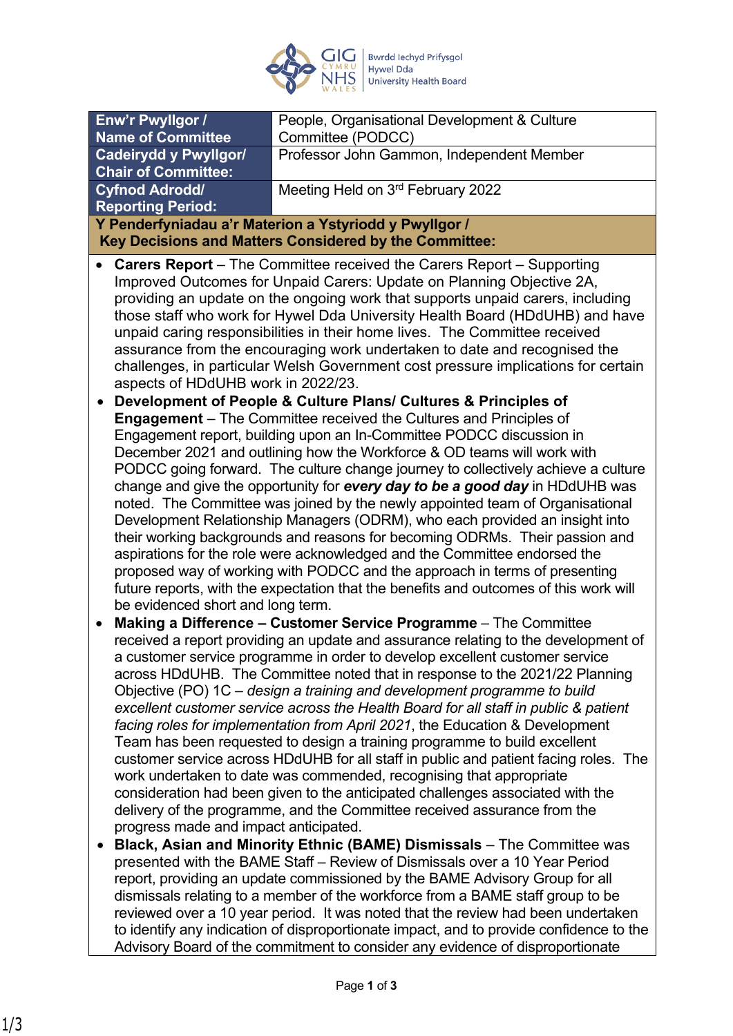

| Enw'r Pwyllgor /                                                                                                                                                  | People, Organisational Development & Culture                                 |
|-------------------------------------------------------------------------------------------------------------------------------------------------------------------|------------------------------------------------------------------------------|
| <b>Name of Committee</b>                                                                                                                                          | Committee (PODCC)                                                            |
| <b>Cadeirydd y Pwyllgor/</b>                                                                                                                                      | Professor John Gammon, Independent Member                                    |
| <b>Chair of Committee:</b>                                                                                                                                        |                                                                              |
| <b>Cyfnod Adrodd/</b>                                                                                                                                             | Meeting Held on 3rd February 2022                                            |
| <b>Reporting Period:</b>                                                                                                                                          |                                                                              |
| Y Penderfyniadau a'r Materion a Ystyriodd y Pwyllgor /<br>Key Decisions and Matters Considered by the Committee:                                                  |                                                                              |
|                                                                                                                                                                   |                                                                              |
|                                                                                                                                                                   | <b>Carers Report</b> – The Committee received the Carers Report – Supporting |
| Improved Outcomes for Unpaid Carers: Update on Planning Objective 2A,                                                                                             |                                                                              |
| providing an update on the ongoing work that supports unpaid carers, including                                                                                    |                                                                              |
| those staff who work for Hywel Dda University Health Board (HDdUHB) and have                                                                                      |                                                                              |
| unpaid caring responsibilities in their home lives. The Committee received<br>assurance from the encouraging work undertaken to date and recognised the           |                                                                              |
| challenges, in particular Welsh Government cost pressure implications for certain                                                                                 |                                                                              |
| aspects of HDdUHB work in 2022/23.                                                                                                                                |                                                                              |
| Development of People & Culture Plans/ Cultures & Principles of                                                                                                   |                                                                              |
| <b>Engagement</b> – The Committee received the Cultures and Principles of                                                                                         |                                                                              |
| Engagement report, building upon an In-Committee PODCC discussion in                                                                                              |                                                                              |
| December 2021 and outlining how the Workforce & OD teams will work with                                                                                           |                                                                              |
| PODCC going forward. The culture change journey to collectively achieve a culture                                                                                 |                                                                              |
| change and give the opportunity for every day to be a good day in HDdUHB was                                                                                      |                                                                              |
| noted. The Committee was joined by the newly appointed team of Organisational                                                                                     |                                                                              |
| Development Relationship Managers (ODRM), who each provided an insight into                                                                                       |                                                                              |
| their working backgrounds and reasons for becoming ODRMs. Their passion and                                                                                       |                                                                              |
| aspirations for the role were acknowledged and the Committee endorsed the                                                                                         |                                                                              |
| proposed way of working with PODCC and the approach in terms of presenting                                                                                        |                                                                              |
| future reports, with the expectation that the benefits and outcomes of this work will<br>be evidenced short and long term.                                        |                                                                              |
|                                                                                                                                                                   |                                                                              |
| Making a Difference - Customer Service Programme - The Committee                                                                                                  |                                                                              |
| received a report providing an update and assurance relating to the development of<br>a customer service programme in order to develop excellent customer service |                                                                              |
| across HDdUHB. The Committee noted that in response to the 2021/22 Planning                                                                                       |                                                                              |
| Objective (PO) 1C – design a training and development programme to build                                                                                          |                                                                              |
| excellent customer service across the Health Board for all staff in public & patient                                                                              |                                                                              |
| facing roles for implementation from April 2021, the Education & Development                                                                                      |                                                                              |
| Team has been requested to design a training programme to build excellent                                                                                         |                                                                              |
| customer service across HDdUHB for all staff in public and patient facing roles. The                                                                              |                                                                              |
| work undertaken to date was commended, recognising that appropriate                                                                                               |                                                                              |
| consideration had been given to the anticipated challenges associated with the                                                                                    |                                                                              |
| delivery of the programme, and the Committee received assurance from the                                                                                          |                                                                              |
| progress made and impact anticipated.                                                                                                                             |                                                                              |
| Black, Asian and Minority Ethnic (BAME) Dismissals - The Committee was                                                                                            |                                                                              |
| presented with the BAME Staff - Review of Dismissals over a 10 Year Period                                                                                        |                                                                              |
| report, providing an update commissioned by the BAME Advisory Group for all                                                                                       |                                                                              |
| dismissals relating to a member of the workforce from a BAME staff group to be                                                                                    |                                                                              |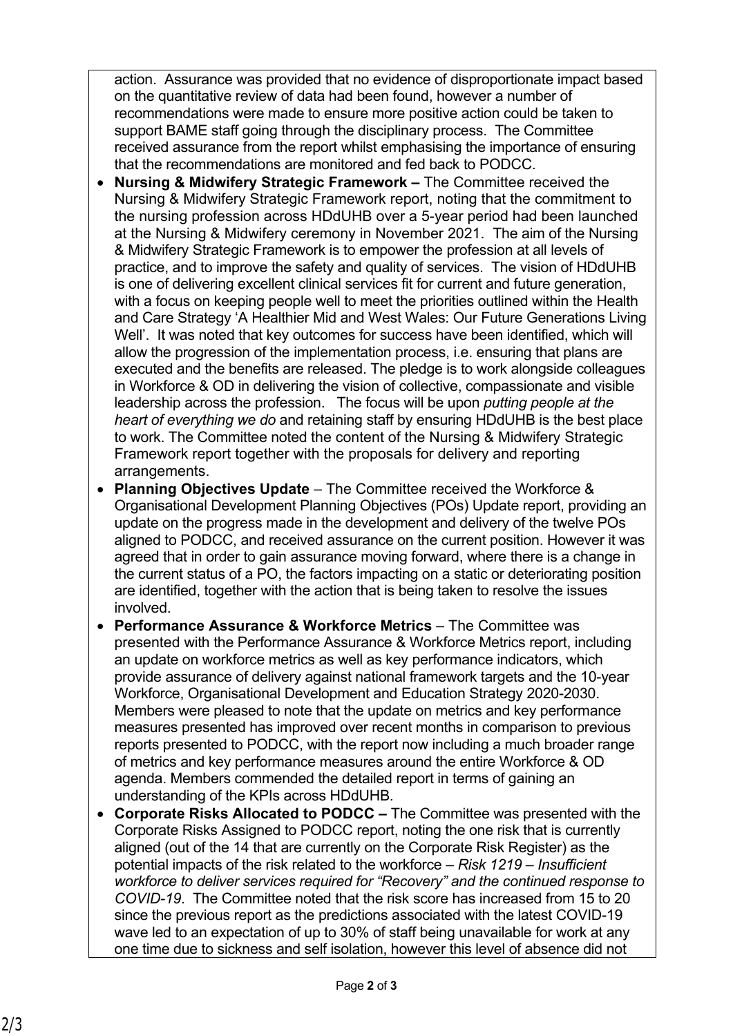action. Assurance was provided that no evidence of disproportionate impact based on the quantitative review of data had been found, however a number of recommendations were made to ensure more positive action could be taken to support BAME staff going through the disciplinary process. The Committee received assurance from the report whilst emphasising the importance of ensuring that the recommendations are monitored and fed back to PODCC.

- **Nursing & Midwifery Strategic Framework** The Committee received the Nursing & Midwifery Strategic Framework report, noting that the commitment to the nursing profession across HDdUHB over a 5-year period had been launched at the Nursing & Midwifery ceremony in November 2021. The aim of the Nursing & Midwifery Strategic Framework is to empower the profession at all levels of practice, and to improve the safety and quality of services. The vision of HDdUHB is one of delivering excellent clinical services fit for current and future generation, with a focus on keeping people well to meet the priorities outlined within the Health and Care Strategy 'A Healthier Mid and West Wales: Our Future Generations Living Well'. It was noted that key outcomes for success have been identified, which will allow the progression of the implementation process, i.e. ensuring that plans are executed and the benefits are released. The pledge is to work alongside colleagues in Workforce & OD in delivering the vision of collective, compassionate and visible leadership across the profession. The focus will be upon *putting people at the heart of everything we do* and retaining staff by ensuring HDdUHB is the best place to work. The Committee noted the content of the Nursing & Midwifery Strategic Framework report together with the proposals for delivery and reporting arrangements.
- **Planning Objectives Update**  The Committee received the Workforce & Organisational Development Planning Objectives (POs) Update report, providing an update on the progress made in the development and delivery of the twelve POs aligned to PODCC, and received assurance on the current position. However it was agreed that in order to gain assurance moving forward, where there is a change in the current status of a PO, the factors impacting on a static or deteriorating position are identified, together with the action that is being taken to resolve the issues involved.
- **Performance Assurance & Workforce Metrics**  The Committee was presented with the Performance Assurance & Workforce Metrics report, including an update on workforce metrics as well as key performance indicators, which provide assurance of delivery against national framework targets and the 10-year Workforce, Organisational Development and Education Strategy 2020-2030. Members were pleased to note that the update on metrics and key performance measures presented has improved over recent months in comparison to previous reports presented to PODCC, with the report now including a much broader range of metrics and key performance measures around the entire Workforce & OD agenda. Members commended the detailed report in terms of gaining an understanding of the KPIs across HDdUHB.
- **Corporate Risks Allocated to PODCC** The Committee was presented with the Corporate Risks Assigned to PODCC report, noting the one risk that is currently aligned (out of the 14 that are currently on the Corporate Risk Register) as the potential impacts of the risk related to the workforce – *Risk 1219 – Insufficient workforce to deliver services required for "Recovery" and the continued response to COVID-19*. The Committee noted that the risk score has increased from 15 to 20 since the previous report as the predictions associated with the latest COVID-19 wave led to an expectation of up to 30% of staff being unavailable for work at any one time due to sickness and self isolation, however this level of absence did not